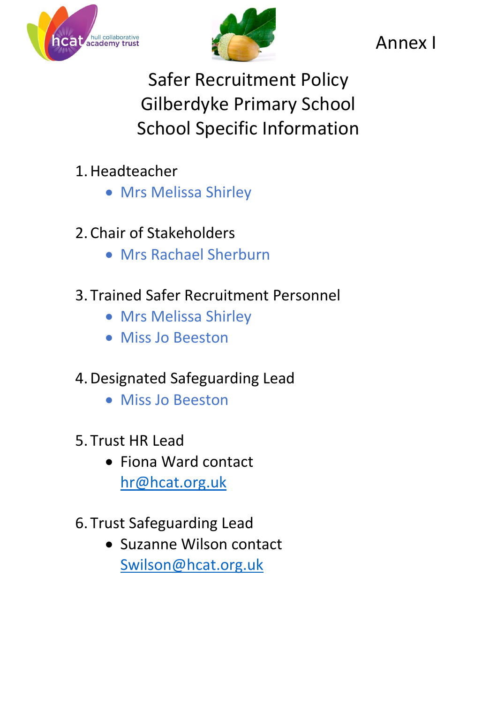



Annex I

Safer Recruitment Policy Gilberdyke Primary School School Specific Information

- 1.Headteacher
	- Mrs Melissa Shirley
- 2. Chair of Stakeholders
	- Mrs Rachael Sherburn
- 3. Trained Safer Recruitment Personnel
	- Mrs Melissa Shirley
	- Miss Jo Beeston
- 4.Designated Safeguarding Lead
	- Miss Jo Beeston
- 5. Trust HR Lead
	- Fiona Ward contact [hr@hcat.org.uk](mailto:hr@hcat.org.uk)
- 6. Trust Safeguarding Lead
	- Suzanne Wilson contact [Swilson@hcat.org.uk](mailto:Swilson@hcat.org.uk)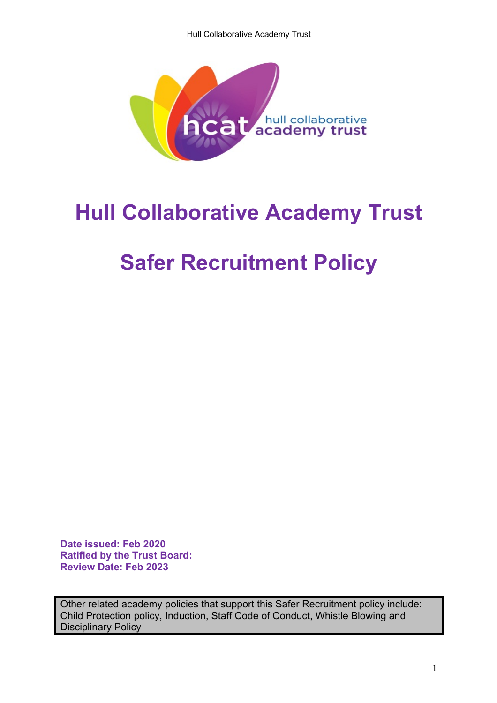Hull Collaborative Academy Trust



# **Hull Collaborative Academy Trust**

# **Safer Recruitment Policy**

**Date issued: Feb 2020 Ratified by the Trust Board: Review Date: Feb 2023**

Other related academy policies that support this Safer Recruitment policy include: Child Protection policy, Induction, Staff Code of Conduct, Whistle Blowing and Disciplinary Policy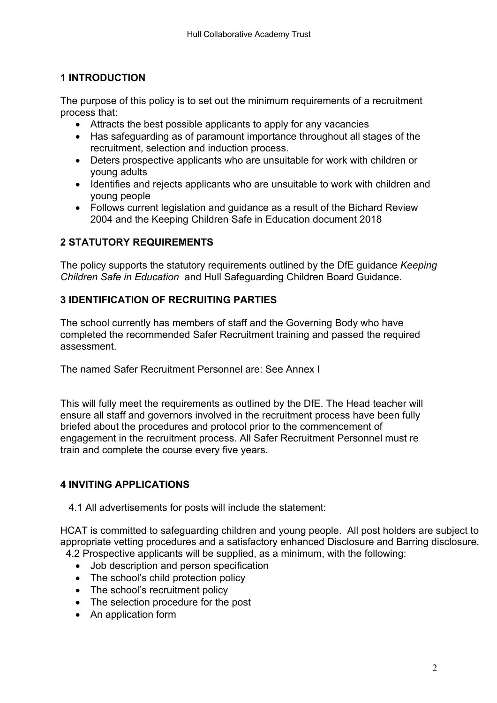# **1 INTRODUCTION**

The purpose of this policy is to set out the minimum requirements of a recruitment process that:

- Attracts the best possible applicants to apply for any vacancies
- Has safeguarding as of paramount importance throughout all stages of the recruitment, selection and induction process.
- Deters prospective applicants who are unsuitable for work with children or young adults
- Identifies and rejects applicants who are unsuitable to work with children and young people
- Follows current legislation and guidance as a result of the Bichard Review 2004 and the Keeping Children Safe in Education document 2018

# **2 STATUTORY REQUIREMENTS**

The policy supports the statutory requirements outlined by the DfE guidance *Keeping Children Safe in Education* and Hull Safeguarding Children Board Guidance.

# **3 IDENTIFICATION OF RECRUITING PARTIES**

The school currently has members of staff and the Governing Body who have completed the recommended Safer Recruitment training and passed the required assessment.

The named Safer Recruitment Personnel are: See Annex I

This will fully meet the requirements as outlined by the DfE. The Head teacher will ensure all staff and governors involved in the recruitment process have been fully briefed about the procedures and protocol prior to the commencement of engagement in the recruitment process. All Safer Recruitment Personnel must re train and complete the course every five years.

# **4 INVITING APPLICATIONS**

4.1 All advertisements for posts will include the statement:

HCAT is committed to safeguarding children and young people. All post holders are subject to appropriate vetting procedures and a satisfactory enhanced Disclosure and Barring disclosure.

- 4.2 Prospective applicants will be supplied, as a minimum, with the following:
	- Job description and person specification
	- The school's child protection policy
	- The school's recruitment policy
	- The selection procedure for the post
	- An application form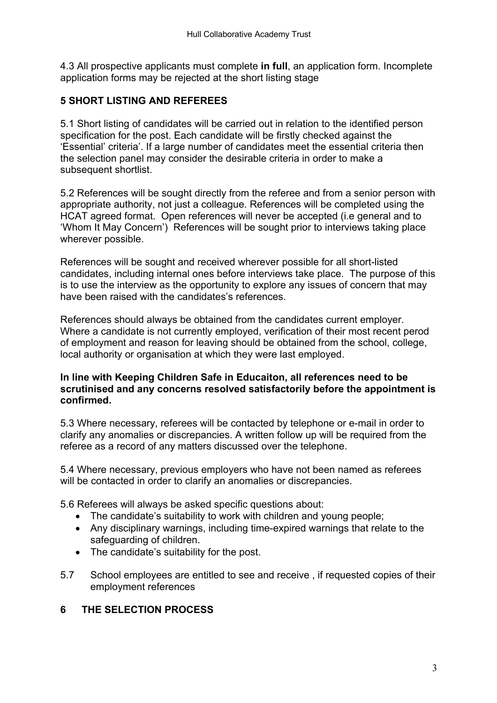4.3 All prospective applicants must complete **in full**, an application form. Incomplete application forms may be rejected at the short listing stage

### **5 SHORT LISTING AND REFEREES**

5.1 Short listing of candidates will be carried out in relation to the identified person specification for the post. Each candidate will be firstly checked against the 'Essential' criteria'. If a large number of candidates meet the essential criteria then the selection panel may consider the desirable criteria in order to make a subsequent shortlist.

5.2 References will be sought directly from the referee and from a senior person with appropriate authority, not just a colleague. References will be completed using the HCAT agreed format. Open references will never be accepted (i.e general and to 'Whom It May Concern') References will be sought prior to interviews taking place wherever possible.

References will be sought and received wherever possible for all short-listed candidates, including internal ones before interviews take place. The purpose of this is to use the interview as the opportunity to explore any issues of concern that may have been raised with the candidates's references.

References should always be obtained from the candidates current employer. Where a candidate is not currently employed, verification of their most recent perod of employment and reason for leaving should be obtained from the school, college, local authority or organisation at which they were last employed.

#### **In line with Keeping Children Safe in Educaiton, all references need to be scrutinised and any concerns resolved satisfactorily before the appointment is confirmed.**

5.3 Where necessary, referees will be contacted by telephone or e-mail in order to clarify any anomalies or discrepancies. A written follow up will be required from the referee as a record of any matters discussed over the telephone.

5.4 Where necessary, previous employers who have not been named as referees will be contacted in order to clarify an anomalies or discrepancies.

5.6 Referees will always be asked specific questions about:

- The candidate's suitability to work with children and young people;
- Any disciplinary warnings, including time-expired warnings that relate to the safeguarding of children.
- The candidate's suitability for the post.
- 5.7 School employees are entitled to see and receive , if requested copies of their employment references

#### **6 THE SELECTION PROCESS**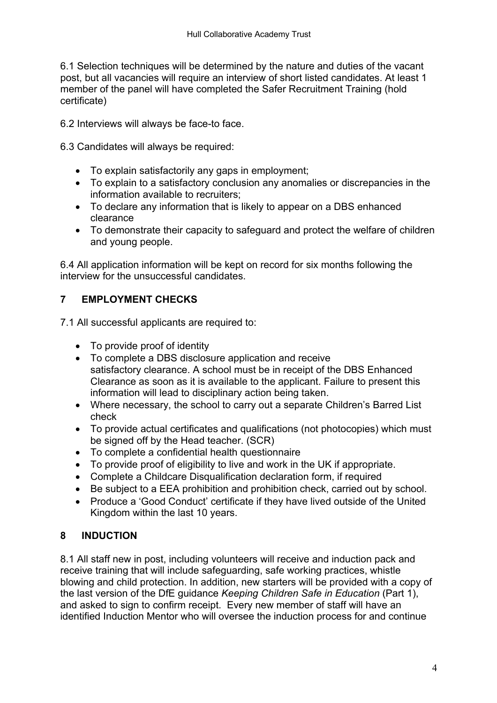6.1 Selection techniques will be determined by the nature and duties of the vacant post, but all vacancies will require an interview of short listed candidates. At least 1 member of the panel will have completed the Safer Recruitment Training (hold certificate)

6.2 Interviews will always be face-to face.

6.3 Candidates will always be required:

- To explain satisfactorily any gaps in employment;
- To explain to a satisfactory conclusion any anomalies or discrepancies in the information available to recruiters;
- To declare any information that is likely to appear on a DBS enhanced clearance
- To demonstrate their capacity to safeguard and protect the welfare of children and young people.

6.4 All application information will be kept on record for six months following the interview for the unsuccessful candidates.

# **7 EMPLOYMENT CHECKS**

7.1 All successful applicants are required to:

- To provide proof of identity
- To complete a DBS disclosure application and receive satisfactory clearance. A school must be in receipt of the DBS Enhanced Clearance as soon as it is available to the applicant. Failure to present this information will lead to disciplinary action being taken.
- Where necessary, the school to carry out a separate Children's Barred List check
- To provide actual certificates and qualifications (not photocopies) which must be signed off by the Head teacher. (SCR)
- To complete a confidential health questionnaire
- To provide proof of eligibility to live and work in the UK if appropriate.
- Complete a Childcare Disqualification declaration form, if required
- Be subject to a EEA prohibition and prohibition check, carried out by school.
- Produce a 'Good Conduct' certificate if they have lived outside of the United Kingdom within the last 10 years.

# **8 INDUCTION**

8.1 All staff new in post, including volunteers will receive and induction pack and receive training that will include safeguarding, safe working practices, whistle blowing and child protection. In addition, new starters will be provided with a copy of the last version of the DfE guidance *Keeping Children Safe in Education* (Part 1), and asked to sign to confirm receipt. Every new member of staff will have an identified Induction Mentor who will oversee the induction process for and continue